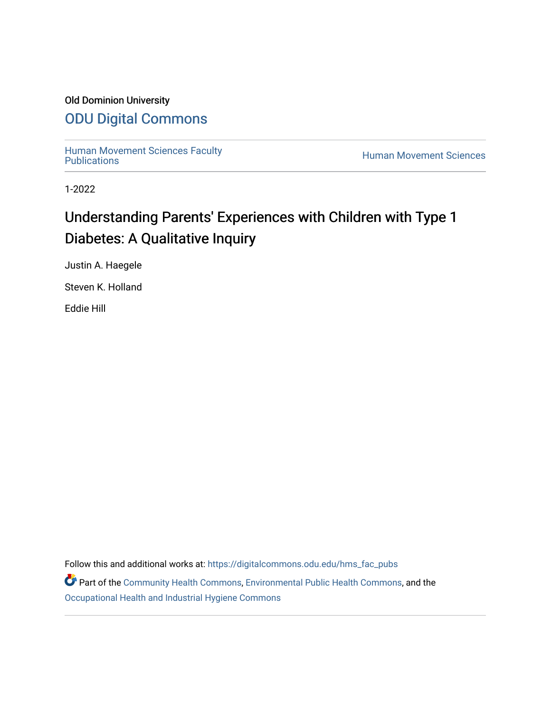# Old Dominion University

# [ODU Digital Commons](https://digitalcommons.odu.edu/)

[Human Movement Sciences Faculty](https://digitalcommons.odu.edu/hms_fac_pubs)<br>Publications

**Human Movement Sciences** 

1-2022

# Understanding Parents' Experiences with Children with Type 1 Diabetes: A Qualitative Inquiry

Justin A. Haegele

Steven K. Holland

Eddie Hill

Follow this and additional works at: [https://digitalcommons.odu.edu/hms\\_fac\\_pubs](https://digitalcommons.odu.edu/hms_fac_pubs?utm_source=digitalcommons.odu.edu%2Fhms_fac_pubs%2F116&utm_medium=PDF&utm_campaign=PDFCoverPages) 

Part of the [Community Health Commons,](http://network.bepress.com/hgg/discipline/714?utm_source=digitalcommons.odu.edu%2Fhms_fac_pubs%2F116&utm_medium=PDF&utm_campaign=PDFCoverPages) [Environmental Public Health Commons,](http://network.bepress.com/hgg/discipline/739?utm_source=digitalcommons.odu.edu%2Fhms_fac_pubs%2F116&utm_medium=PDF&utm_campaign=PDFCoverPages) and the [Occupational Health and Industrial Hygiene Commons](http://network.bepress.com/hgg/discipline/742?utm_source=digitalcommons.odu.edu%2Fhms_fac_pubs%2F116&utm_medium=PDF&utm_campaign=PDFCoverPages)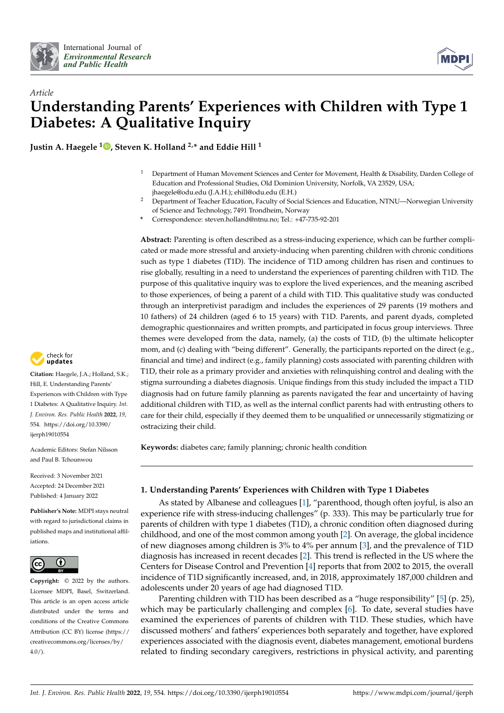



# *Article* **Understanding Parents' Experiences with Children with Type 1 Diabetes: A Qualitative Inquiry**

**Justin A. Haegele <sup>1</sup> [,](https://orcid.org/0000-0002-8580-4782) Steven K. Holland 2,\* and Eddie Hill <sup>1</sup>**

- <sup>1</sup> Department of Human Movement Sciences and Center for Movement, Health & Disability, Darden College of Education and Professional Studies, Old Dominion University, Norfolk, VA 23529, USA; jhaegele@odu.edu (J.A.H.); ehill@odu.edu (E.H.)
- <sup>2</sup> Department of Teacher Education, Faculty of Social Sciences and Education, NTNU—Norwegian University of Science and Technology, 7491 Trondheim, Norway
- **\*** Correspondence: steven.holland@ntnu.no; Tel.: +47-735-92-201

**Abstract:** Parenting is often described as a stress-inducing experience, which can be further complicated or made more stressful and anxiety-inducing when parenting children with chronic conditions such as type 1 diabetes (T1D). The incidence of T1D among children has risen and continues to rise globally, resulting in a need to understand the experiences of parenting children with T1D. The purpose of this qualitative inquiry was to explore the lived experiences, and the meaning ascribed to those experiences, of being a parent of a child with T1D. This qualitative study was conducted through an interpretivist paradigm and includes the experiences of 29 parents (19 mothers and 10 fathers) of 24 children (aged 6 to 15 years) with T1D. Parents, and parent dyads, completed demographic questionnaires and written prompts, and participated in focus group interviews. Three themes were developed from the data, namely, (a) the costs of T1D, (b) the ultimate helicopter mom, and (c) dealing with "being different". Generally, the participants reported on the direct (e.g., financial and time) and indirect (e.g., family planning) costs associated with parenting children with T1D, their role as a primary provider and anxieties with relinquishing control and dealing with the stigma surrounding a diabetes diagnosis. Unique findings from this study included the impact a T1D diagnosis had on future family planning as parents navigated the fear and uncertainty of having additional children with T1D, as well as the internal conflict parents had with entrusting others to care for their child, especially if they deemed them to be unqualified or unnecessarily stigmatizing or ostracizing their child.

**Keywords:** diabetes care; family planning; chronic health condition

# **1. Understanding Parents' Experiences with Children with Type 1 Diabetes**

As stated by Albanese and colleagues [\[1\]](#page-9-0), "parenthood, though often joyful, is also an experience rife with stress-inducing challenges" (p. 333). This may be particularly true for parents of children with type 1 diabetes (T1D), a chronic condition often diagnosed during childhood, and one of the most common among youth [\[2\]](#page-9-1). On average, the global incidence of new diagnoses among children is 3% to 4% per annum [\[3\]](#page-9-2), and the prevalence of T1D diagnosis has increased in recent decades [\[2\]](#page-9-1). This trend is reflected in the US where the Centers for Disease Control and Prevention [\[4\]](#page-9-3) reports that from 2002 to 2015, the overall incidence of T1D significantly increased, and, in 2018, approximately 187,000 children and adolescents under 20 years of age had diagnosed T1D.

Parenting children with T1D has been described as a "huge responsibility" [\[5\]](#page-9-4) (p. 25), which may be particularly challenging and complex [\[6\]](#page-9-5). To date, several studies have examined the experiences of parents of children with T1D. These studies, which have discussed mothers' and fathers' experiences both separately and together, have explored experiences associated with the diagnosis event, diabetes management, emotional burdens related to finding secondary caregivers, restrictions in physical activity, and parenting



**Citation:** Haegele, J.A.; Holland, S.K.; Hill, E. Understanding Parents' Experiences with Children with Type 1 Diabetes: A Qualitative Inquiry. *Int. J. Environ. Res. Public Health* **2022**, *19*, 554. [https://doi.org/10.3390/](https://doi.org/10.3390/ijerph19010554) [ijerph19010554](https://doi.org/10.3390/ijerph19010554)

Academic Editors: Stefan Nilsson and Paul B. Tchounwou

Received: 3 November 2021 Accepted: 24 December 2021 Published: 4 January 2022

**Publisher's Note:** MDPI stays neutral with regard to jurisdictional claims in published maps and institutional affiliations.



**Copyright:** © 2022 by the authors. Licensee MDPI, Basel, Switzerland. This article is an open access article distributed under the terms and conditions of the Creative Commons Attribution (CC BY) license [\(https://](https://creativecommons.org/licenses/by/4.0/) [creativecommons.org/licenses/by/](https://creativecommons.org/licenses/by/4.0/)  $4.0/$ ).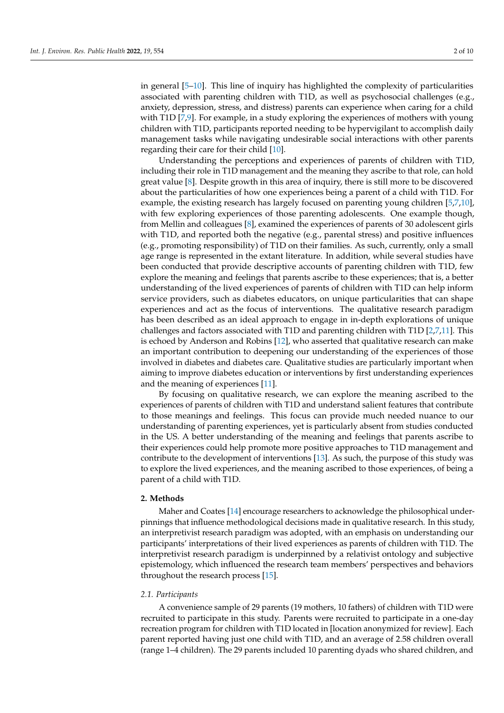in general [\[5](#page-9-4)[–10\]](#page-9-6). This line of inquiry has highlighted the complexity of particularities associated with parenting children with T1D, as well as psychosocial challenges (e.g., anxiety, depression, stress, and distress) parents can experience when caring for a child with T1D [\[7,](#page-9-7)[9\]](#page-9-8). For example, in a study exploring the experiences of mothers with young children with T1D, participants reported needing to be hypervigilant to accomplish daily management tasks while navigating undesirable social interactions with other parents regarding their care for their child [\[10\]](#page-9-6).

Understanding the perceptions and experiences of parents of children with T1D, including their role in T1D management and the meaning they ascribe to that role, can hold great value [\[8\]](#page-9-9). Despite growth in this area of inquiry, there is still more to be discovered about the particularities of how one experiences being a parent of a child with T1D. For example, the existing research has largely focused on parenting young children [\[5,](#page-9-4)[7,](#page-9-7)[10\]](#page-9-6), with few exploring experiences of those parenting adolescents. One example though, from Mellin and colleagues [\[8\]](#page-9-9), examined the experiences of parents of 30 adolescent girls with T1D, and reported both the negative (e.g., parental stress) and positive influences (e.g., promoting responsibility) of T1D on their families. As such, currently, only a small age range is represented in the extant literature. In addition, while several studies have been conducted that provide descriptive accounts of parenting children with T1D, few explore the meaning and feelings that parents ascribe to these experiences; that is, a better understanding of the lived experiences of parents of children with T1D can help inform service providers, such as diabetes educators, on unique particularities that can shape experiences and act as the focus of interventions. The qualitative research paradigm has been described as an ideal approach to engage in in-depth explorations of unique challenges and factors associated with T1D and parenting children with T1D [\[2,](#page-9-1)[7,](#page-9-7)[11\]](#page-9-10). This is echoed by Anderson and Robins [\[12\]](#page-9-11), who asserted that qualitative research can make an important contribution to deepening our understanding of the experiences of those involved in diabetes and diabetes care. Qualitative studies are particularly important when aiming to improve diabetes education or interventions by first understanding experiences and the meaning of experiences [\[11\]](#page-9-10).

By focusing on qualitative research, we can explore the meaning ascribed to the experiences of parents of children with T1D and understand salient features that contribute to those meanings and feelings. This focus can provide much needed nuance to our understanding of parenting experiences, yet is particularly absent from studies conducted in the US. A better understanding of the meaning and feelings that parents ascribe to their experiences could help promote more positive approaches to T1D management and contribute to the development of interventions [\[13\]](#page-9-12). As such, the purpose of this study was to explore the lived experiences, and the meaning ascribed to those experiences, of being a parent of a child with T1D.

#### **2. Methods**

Maher and Coates [\[14\]](#page-9-13) encourage researchers to acknowledge the philosophical underpinnings that influence methodological decisions made in qualitative research. In this study, an interpretivist research paradigm was adopted, with an emphasis on understanding our participants' interpretations of their lived experiences as parents of children with T1D. The interpretivist research paradigm is underpinned by a relativist ontology and subjective epistemology, which influenced the research team members' perspectives and behaviors throughout the research process [\[15\]](#page-10-0).

#### *2.1. Participants*

A convenience sample of 29 parents (19 mothers, 10 fathers) of children with T1D were recruited to participate in this study. Parents were recruited to participate in a one-day recreation program for children with T1D located in [location anonymized for review]. Each parent reported having just one child with T1D, and an average of 2.58 children overall (range 1–4 children). The 29 parents included 10 parenting dyads who shared children, and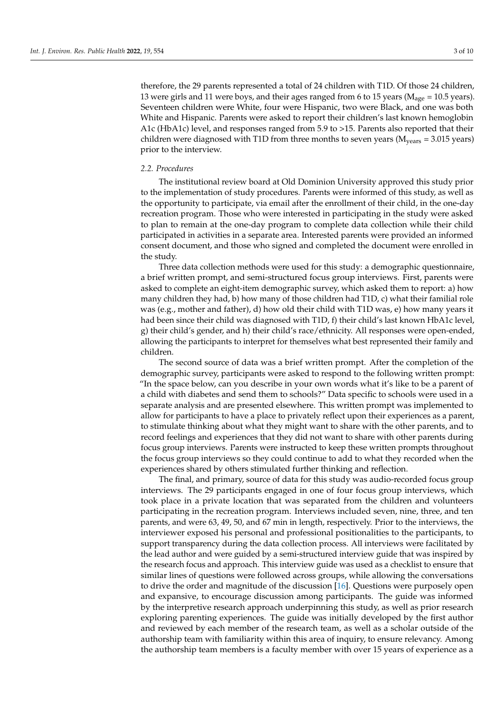therefore, the 29 parents represented a total of 24 children with T1D. Of those 24 children, 13 were girls and 11 were boys, and their ages ranged from 6 to 15 years (Mage *=* 10.5 years). Seventeen children were White, four were Hispanic, two were Black, and one was both White and Hispanic. Parents were asked to report their children's last known hemoglobin A1c (HbA1c) level, and responses ranged from 5.9 to >15. Parents also reported that their children were diagnosed with T1D from three months to seven years (Myears *=* 3.015 years) prior to the interview.

#### *2.2. Procedures*

The institutional review board at Old Dominion University approved this study prior to the implementation of study procedures. Parents were informed of this study, as well as the opportunity to participate, via email after the enrollment of their child, in the one-day recreation program. Those who were interested in participating in the study were asked to plan to remain at the one-day program to complete data collection while their child participated in activities in a separate area. Interested parents were provided an informed consent document, and those who signed and completed the document were enrolled in the study.

Three data collection methods were used for this study: a demographic questionnaire, a brief written prompt, and semi-structured focus group interviews. First, parents were asked to complete an eight-item demographic survey, which asked them to report: a) how many children they had, b) how many of those children had T1D, c) what their familial role was (e.g., mother and father), d) how old their child with T1D was, e) how many years it had been since their child was diagnosed with T1D, f) their child's last known HbA1c level, g) their child's gender, and h) their child's race/ethnicity. All responses were open-ended, allowing the participants to interpret for themselves what best represented their family and children.

The second source of data was a brief written prompt. After the completion of the demographic survey, participants were asked to respond to the following written prompt: "In the space below, can you describe in your own words what it's like to be a parent of a child with diabetes and send them to schools?" Data specific to schools were used in a separate analysis and are presented elsewhere. This written prompt was implemented to allow for participants to have a place to privately reflect upon their experiences as a parent, to stimulate thinking about what they might want to share with the other parents, and to record feelings and experiences that they did not want to share with other parents during focus group interviews. Parents were instructed to keep these written prompts throughout the focus group interviews so they could continue to add to what they recorded when the experiences shared by others stimulated further thinking and reflection.

The final, and primary, source of data for this study was audio-recorded focus group interviews. The 29 participants engaged in one of four focus group interviews, which took place in a private location that was separated from the children and volunteers participating in the recreation program. Interviews included seven, nine, three, and ten parents, and were 63, 49, 50, and 67 min in length, respectively. Prior to the interviews, the interviewer exposed his personal and professional positionalities to the participants, to support transparency during the data collection process. All interviews were facilitated by the lead author and were guided by a semi-structured interview guide that was inspired by the research focus and approach. This interview guide was used as a checklist to ensure that similar lines of questions were followed across groups, while allowing the conversations to drive the order and magnitude of the discussion [\[16\]](#page-10-1). Questions were purposely open and expansive, to encourage discussion among participants. The guide was informed by the interpretive research approach underpinning this study, as well as prior research exploring parenting experiences. The guide was initially developed by the first author and reviewed by each member of the research team, as well as a scholar outside of the authorship team with familiarity within this area of inquiry, to ensure relevancy. Among the authorship team members is a faculty member with over 15 years of experience as a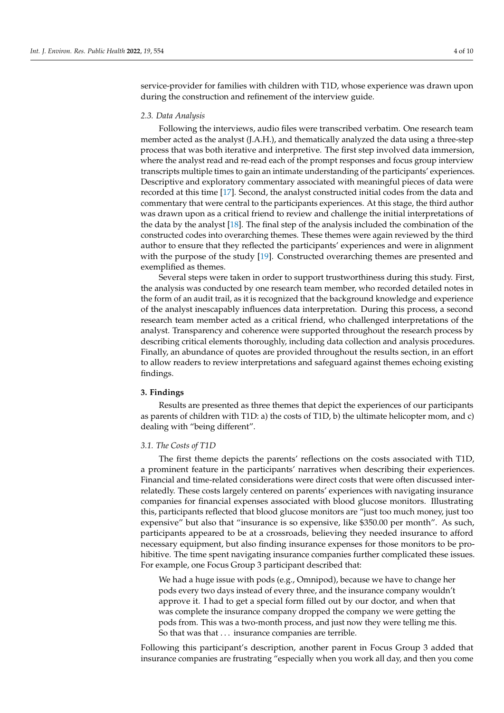service-provider for families with children with T1D, whose experience was drawn upon during the construction and refinement of the interview guide.

#### *2.3. Data Analysis*

Following the interviews, audio files were transcribed verbatim. One research team member acted as the analyst (J.A.H.), and thematically analyzed the data using a three-step process that was both iterative and interpretive. The first step involved data immersion, where the analyst read and re-read each of the prompt responses and focus group interview transcripts multiple times to gain an intimate understanding of the participants' experiences. Descriptive and exploratory commentary associated with meaningful pieces of data were recorded at this time [\[17\]](#page-10-2). Second, the analyst constructed initial codes from the data and commentary that were central to the participants experiences. At this stage, the third author was drawn upon as a critical friend to review and challenge the initial interpretations of the data by the analyst [\[18\]](#page-10-3). The final step of the analysis included the combination of the constructed codes into overarching themes. These themes were again reviewed by the third author to ensure that they reflected the participants' experiences and were in alignment with the purpose of the study [\[19\]](#page-10-4). Constructed overarching themes are presented and exemplified as themes.

Several steps were taken in order to support trustworthiness during this study. First, the analysis was conducted by one research team member, who recorded detailed notes in the form of an audit trail, as it is recognized that the background knowledge and experience of the analyst inescapably influences data interpretation. During this process, a second research team member acted as a critical friend, who challenged interpretations of the analyst. Transparency and coherence were supported throughout the research process by describing critical elements thoroughly, including data collection and analysis procedures. Finally, an abundance of quotes are provided throughout the results section, in an effort to allow readers to review interpretations and safeguard against themes echoing existing findings.

## **3. Findings**

Results are presented as three themes that depict the experiences of our participants as parents of children with T1D: a) the costs of T1D, b) the ultimate helicopter mom, and c) dealing with "being different".

#### *3.1. The Costs of T1D*

The first theme depicts the parents' reflections on the costs associated with T1D, a prominent feature in the participants' narratives when describing their experiences. Financial and time-related considerations were direct costs that were often discussed interrelatedly. These costs largely centered on parents' experiences with navigating insurance companies for financial expenses associated with blood glucose monitors. Illustrating this, participants reflected that blood glucose monitors are "just too much money, just too expensive" but also that "insurance is so expensive, like \$350.00 per month". As such, participants appeared to be at a crossroads, believing they needed insurance to afford necessary equipment, but also finding insurance expenses for those monitors to be prohibitive. The time spent navigating insurance companies further complicated these issues. For example, one Focus Group 3 participant described that:

We had a huge issue with pods (e.g., Omnipod), because we have to change her pods every two days instead of every three, and the insurance company wouldn't approve it. I had to get a special form filled out by our doctor, and when that was complete the insurance company dropped the company we were getting the pods from. This was a two-month process, and just now they were telling me this. So that was that ... insurance companies are terrible.

Following this participant's description, another parent in Focus Group 3 added that insurance companies are frustrating "especially when you work all day, and then you come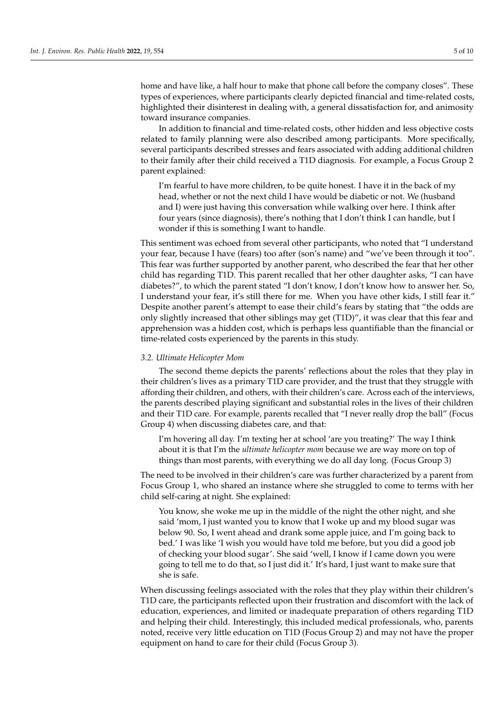home and have like, a half hour to make that phone call before the company closes". These types of experiences, where participants clearly depicted financial and time-related costs, highlighted their disinterest in dealing with, a general dissatisfaction for, and animosity toward insurance companies.

In addition to financial and time-related costs, other hidden and less objective costs related to family planning were also described among participants. More specifically, several participants described stresses and fears associated with adding additional children to their family after their child received a T1D diagnosis. For example, a Focus Group 2 parent explained:

I'm fearful to have more children, to be quite honest. I have it in the back of my head, whether or not the next child I have would be diabetic or not. We (husband and I) were just having this conversation while walking over here. I think after four years (since diagnosis), there's nothing that I don't think I can handle, but I wonder if this is something I want to handle.

This sentiment was echoed from several other participants, who noted that "I understand your fear, because I have (fears) too after (son's name) and "we've been through it too". This fear was further supported by another parent, who described the fear that her other child has regarding T1D. This parent recalled that her other daughter asks, "I can have diabetes?", to which the parent stated "I don't know, I don't know how to answer her. So, I understand your fear, it's still there for me. When you have other kids, I still fear it." Despite another parent's attempt to ease their child's fears by stating that "the odds are only slightly increased that other siblings may get (T1D)", it was clear that this fear and apprehension was a hidden cost, which is perhaps less quantifiable than the financial or time-related costs experienced by the parents in this study.

#### *3.2. Ultimate Helicopter Mom*

The second theme depicts the parents' reflections about the roles that they play in their children's lives as a primary T1D care provider, and the trust that they struggle with affording their children, and others, with their children's care. Across each of the interviews, the parents described playing significant and substantial roles in the lives of their children and their T1D care. For example, parents recalled that "I never really drop the ball" (Focus Group 4) when discussing diabetes care, and that:

I'm hovering all day. I'm texting her at school 'are you treating?' The way I think about it is that I'm the *ultimate helicopter mom* because we are way more on top of things than most parents, with everything we do all day long. (Focus Group 3)

The need to be involved in their children's care was further characterized by a parent from Focus Group 1, who shared an instance where she struggled to come to terms with her child self-caring at night. She explained:

You know, she woke me up in the middle of the night the other night, and she said 'mom, I just wanted you to know that I woke up and my blood sugar was below 90. So, I went ahead and drank some apple juice, and I'm going back to bed.' I was like 'I wish you would have told me before, but you did a good job of checking your blood sugar'. She said 'well, I know if I came down you were going to tell me to do that, so I just did it.' It's hard, I just want to make sure that she is safe.

When discussing feelings associated with the roles that they play within their children's T1D care, the participants reflected upon their frustration and discomfort with the lack of education, experiences, and limited or inadequate preparation of others regarding T1D and helping their child. Interestingly, this included medical professionals, who, parents noted, receive very little education on T1D (Focus Group 2) and may not have the proper equipment on hand to care for their child (Focus Group 3).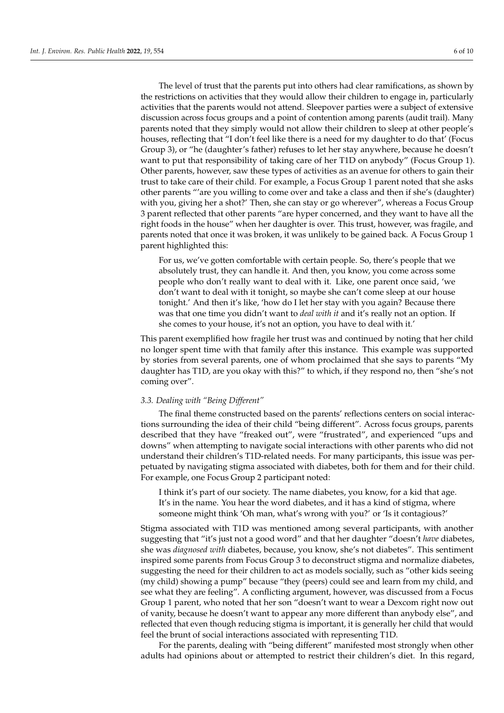The level of trust that the parents put into others had clear ramifications, as shown by the restrictions on activities that they would allow their children to engage in, particularly activities that the parents would not attend. Sleepover parties were a subject of extensive discussion across focus groups and a point of contention among parents (audit trail). Many parents noted that they simply would not allow their children to sleep at other people's houses, reflecting that "I don't feel like there is a need for my daughter to do that' (Focus Group 3), or "he (daughter's father) refuses to let her stay anywhere, because he doesn't want to put that responsibility of taking care of her T1D on anybody" (Focus Group 1). Other parents, however, saw these types of activities as an avenue for others to gain their trust to take care of their child. For example, a Focus Group 1 parent noted that she asks other parents "'are you willing to come over and take a class and then if she's (daughter) with you, giving her a shot?' Then, she can stay or go wherever", whereas a Focus Group 3 parent reflected that other parents "are hyper concerned, and they want to have all the right foods in the house" when her daughter is over. This trust, however, was fragile, and parents noted that once it was broken, it was unlikely to be gained back. A Focus Group 1 parent highlighted this:

For us, we've gotten comfortable with certain people. So, there's people that we absolutely trust, they can handle it. And then, you know, you come across some people who don't really want to deal with it. Like, one parent once said, 'we don't want to deal with it tonight, so maybe she can't come sleep at our house tonight.' And then it's like, 'how do I let her stay with you again? Because there was that one time you didn't want to *deal with it* and it's really not an option. If she comes to your house, it's not an option, you have to deal with it.'

This parent exemplified how fragile her trust was and continued by noting that her child no longer spent time with that family after this instance. This example was supported by stories from several parents, one of whom proclaimed that she says to parents "My daughter has T1D, are you okay with this?" to which, if they respond no, then "she's not coming over".

## *3.3. Dealing with "Being Different"*

The final theme constructed based on the parents' reflections centers on social interactions surrounding the idea of their child "being different". Across focus groups, parents described that they have "freaked out", were "frustrated", and experienced "ups and downs" when attempting to navigate social interactions with other parents who did not understand their children's T1D-related needs. For many participants, this issue was perpetuated by navigating stigma associated with diabetes, both for them and for their child. For example, one Focus Group 2 participant noted:

I think it's part of our society. The name diabetes, you know, for a kid that age. It's in the name. You hear the word diabetes, and it has a kind of stigma, where someone might think 'Oh man, what's wrong with you?' or 'Is it contagious?'

Stigma associated with T1D was mentioned among several participants, with another suggesting that "it's just not a good word" and that her daughter "doesn't *have* diabetes, she was *diagnosed with* diabetes, because, you know, she's not diabetes". This sentiment inspired some parents from Focus Group 3 to deconstruct stigma and normalize diabetes, suggesting the need for their children to act as models socially, such as "other kids seeing (my child) showing a pump" because "they (peers) could see and learn from my child, and see what they are feeling". A conflicting argument, however, was discussed from a Focus Group 1 parent, who noted that her son "doesn't want to wear a Dexcom right now out of vanity, because he doesn't want to appear any more different than anybody else", and reflected that even though reducing stigma is important, it is generally her child that would feel the brunt of social interactions associated with representing T1D.

For the parents, dealing with "being different" manifested most strongly when other adults had opinions about or attempted to restrict their children's diet. In this regard,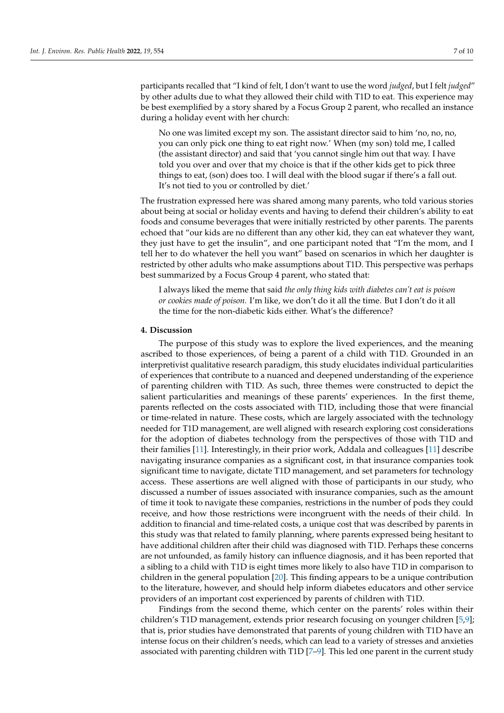participants recalled that "I kind of felt, I don't want to use the word *judged*, but I felt *judged*" by other adults due to what they allowed their child with T1D to eat. This experience may be best exemplified by a story shared by a Focus Group 2 parent, who recalled an instance during a holiday event with her church:

No one was limited except my son. The assistant director said to him 'no, no, no, you can only pick one thing to eat right now.' When (my son) told me, I called (the assistant director) and said that 'you cannot single him out that way. I have told you over and over that my choice is that if the other kids get to pick three things to eat, (son) does too. I will deal with the blood sugar if there's a fall out. It's not tied to you or controlled by diet.'

The frustration expressed here was shared among many parents, who told various stories about being at social or holiday events and having to defend their children's ability to eat foods and consume beverages that were initially restricted by other parents. The parents echoed that "our kids are no different than any other kid, they can eat whatever they want, they just have to get the insulin", and one participant noted that "I'm the mom, and I tell her to do whatever the hell you want" based on scenarios in which her daughter is restricted by other adults who make assumptions about T1D. This perspective was perhaps best summarized by a Focus Group 4 parent, who stated that:

I always liked the meme that said *the only thing kids with diabetes can't eat is poison or cookies made of poison.* I'm like, we don't do it all the time. But I don't do it all the time for the non-diabetic kids either. What's the difference?

### **4. Discussion**

The purpose of this study was to explore the lived experiences, and the meaning ascribed to those experiences, of being a parent of a child with T1D. Grounded in an interpretivist qualitative research paradigm, this study elucidates individual particularities of experiences that contribute to a nuanced and deepened understanding of the experience of parenting children with T1D. As such, three themes were constructed to depict the salient particularities and meanings of these parents' experiences. In the first theme, parents reflected on the costs associated with T1D, including those that were financial or time-related in nature. These costs, which are largely associated with the technology needed for T1D management, are well aligned with research exploring cost considerations for the adoption of diabetes technology from the perspectives of those with T1D and their families [\[11\]](#page-9-10). Interestingly, in their prior work, Addala and colleagues [\[11\]](#page-9-10) describe navigating insurance companies as a significant cost, in that insurance companies took significant time to navigate, dictate T1D management, and set parameters for technology access. These assertions are well aligned with those of participants in our study, who discussed a number of issues associated with insurance companies, such as the amount of time it took to navigate these companies, restrictions in the number of pods they could receive, and how those restrictions were incongruent with the needs of their child. In addition to financial and time-related costs, a unique cost that was described by parents in this study was that related to family planning, where parents expressed being hesitant to have additional children after their child was diagnosed with T1D. Perhaps these concerns are not unfounded, as family history can influence diagnosis, and it has been reported that a sibling to a child with T1D is eight times more likely to also have T1D in comparison to children in the general population [\[20\]](#page-10-5). This finding appears to be a unique contribution to the literature, however, and should help inform diabetes educators and other service providers of an important cost experienced by parents of children with T1D.

Findings from the second theme, which center on the parents' roles within their children's T1D management, extends prior research focusing on younger children [\[5,](#page-9-4)[9\]](#page-9-8); that is, prior studies have demonstrated that parents of young children with T1D have an intense focus on their children's needs, which can lead to a variety of stresses and anxieties associated with parenting children with T1D [\[7–](#page-9-7)[9\]](#page-9-8). This led one parent in the current study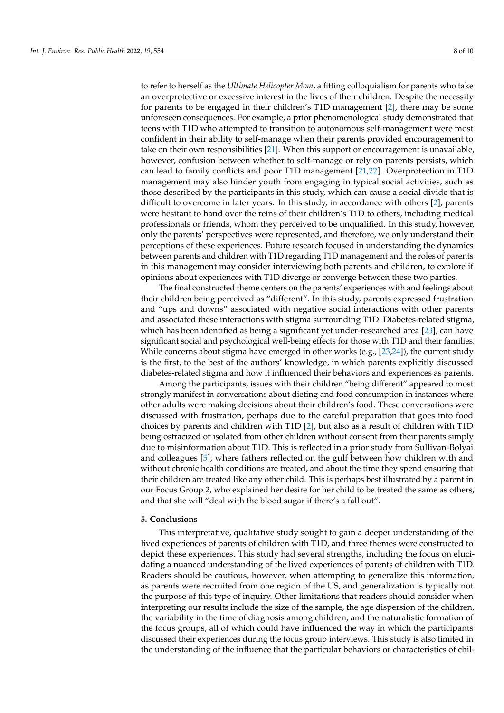to refer to herself as the *Ultimate Helicopter Mom*, a fitting colloquialism for parents who take an overprotective or excessive interest in the lives of their children. Despite the necessity for parents to be engaged in their children's T1D management [\[2\]](#page-9-1), there may be some unforeseen consequences. For example, a prior phenomenological study demonstrated that teens with T1D who attempted to transition to autonomous self-management were most confident in their ability to self-manage when their parents provided encouragement to take on their own responsibilities [\[21\]](#page-10-6). When this support or encouragement is unavailable, however, confusion between whether to self-manage or rely on parents persists, which can lead to family conflicts and poor T1D management [\[21](#page-10-6)[,22\]](#page-10-7). Overprotection in T1D management may also hinder youth from engaging in typical social activities, such as those described by the participants in this study, which can cause a social divide that is

difficult to overcome in later years. In this study, in accordance with others [\[2\]](#page-9-1), parents were hesitant to hand over the reins of their children's T1D to others, including medical professionals or friends, whom they perceived to be unqualified. In this study, however, only the parents' perspectives were represented, and therefore, we only understand their perceptions of these experiences. Future research focused in understanding the dynamics between parents and children with T1D regarding T1D management and the roles of parents in this management may consider interviewing both parents and children, to explore if opinions about experiences with T1D diverge or converge between these two parties.

The final constructed theme centers on the parents' experiences with and feelings about their children being perceived as "different". In this study, parents expressed frustration and "ups and downs" associated with negative social interactions with other parents and associated these interactions with stigma surrounding T1D. Diabetes-related stigma, which has been identified as being a significant yet under-researched area [\[23\]](#page-10-8), can have significant social and psychological well-being effects for those with T1D and their families. While concerns about stigma have emerged in other works (e.g., [\[23](#page-10-8)[,24\]](#page-10-9)), the current study is the first, to the best of the authors' knowledge, in which parents explicitly discussed diabetes-related stigma and how it influenced their behaviors and experiences as parents.

Among the participants, issues with their children "being different" appeared to most strongly manifest in conversations about dieting and food consumption in instances where other adults were making decisions about their children's food. These conversations were discussed with frustration, perhaps due to the careful preparation that goes into food choices by parents and children with T1D [\[2\]](#page-9-1), but also as a result of children with T1D being ostracized or isolated from other children without consent from their parents simply due to misinformation about T1D. This is reflected in a prior study from Sullivan-Bolyai and colleagues [\[5\]](#page-9-4), where fathers reflected on the gulf between how children with and without chronic health conditions are treated, and about the time they spend ensuring that their children are treated like any other child. This is perhaps best illustrated by a parent in our Focus Group 2, who explained her desire for her child to be treated the same as others, and that she will "deal with the blood sugar if there's a fall out".

#### **5. Conclusions**

This interpretative, qualitative study sought to gain a deeper understanding of the lived experiences of parents of children with T1D, and three themes were constructed to depict these experiences. This study had several strengths, including the focus on elucidating a nuanced understanding of the lived experiences of parents of children with T1D. Readers should be cautious, however, when attempting to generalize this information, as parents were recruited from one region of the US, and generalization is typically not the purpose of this type of inquiry. Other limitations that readers should consider when interpreting our results include the size of the sample, the age dispersion of the children, the variability in the time of diagnosis among children, and the naturalistic formation of the focus groups, all of which could have influenced the way in which the participants discussed their experiences during the focus group interviews. This study is also limited in the understanding of the influence that the particular behaviors or characteristics of chil-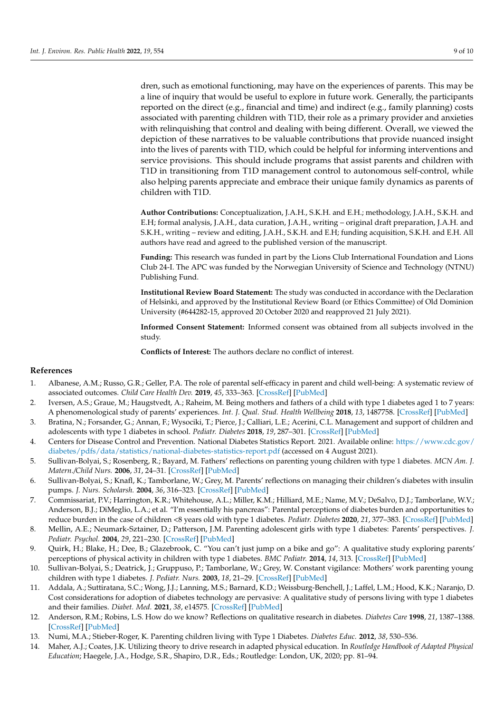dren, such as emotional functioning, may have on the experiences of parents. This may be a line of inquiry that would be useful to explore in future work. Generally, the participants reported on the direct (e.g., financial and time) and indirect (e.g., family planning) costs associated with parenting children with T1D, their role as a primary provider and anxieties with relinquishing that control and dealing with being different. Overall, we viewed the depiction of these narratives to be valuable contributions that provide nuanced insight into the lives of parents with T1D, which could be helpful for informing interventions and service provisions. This should include programs that assist parents and children with T1D in transitioning from T1D management control to autonomous self-control, while also helping parents appreciate and embrace their unique family dynamics as parents of children with T1D.

**Author Contributions:** Conceptualization, J.A.H., S.K.H. and E.H.; methodology, J.A.H., S.K.H. and E.H; formal analysis, J.A.H., data curation, J.A.H., writing – original draft preparation, J.A.H. and S.K.H., writing – review and editing, J.A.H., S.K.H. and E.H; funding acquisition, S.K.H. and E.H. All authors have read and agreed to the published version of the manuscript.

**Funding:** This research was funded in part by the Lions Club International Foundation and Lions Club 24-I. The APC was funded by the Norwegian University of Science and Technology (NTNU) Publishing Fund.

**Institutional Review Board Statement:** The study was conducted in accordance with the Declaration of Helsinki, and approved by the Institutional Review Board (or Ethics Committee) of Old Dominion University (#644282-15, approved 20 October 2020 and reapproved 21 July 2021).

**Informed Consent Statement:** Informed consent was obtained from all subjects involved in the study.

**Conflicts of Interest:** The authors declare no conflict of interest.

## **References**

- <span id="page-9-0"></span>1. Albanese, A.M.; Russo, G.R.; Geller, P.A. The role of parental self-efficacy in parent and child well-being: A systematic review of associated outcomes. *Child Care Health Dev.* **2019**, *45*, 333–363. [\[CrossRef\]](http://doi.org/10.1111/cch.12661) [\[PubMed\]](http://www.ncbi.nlm.nih.gov/pubmed/30870584)
- <span id="page-9-1"></span>2. Iversen, A.S.; Graue, M.; Haugstvedt, A.; Raheim, M. Being mothers and fathers of a child with type 1 diabetes aged 1 to 7 years: A phenomenological study of parents' experiences. *Int. J. Qual. Stud. Health Wellbeing* **2018**, *13*, 1487758. [\[CrossRef\]](http://doi.org/10.1080/17482631.2018.1487758) [\[PubMed\]](http://www.ncbi.nlm.nih.gov/pubmed/29944465)
- <span id="page-9-2"></span>3. Bratina, N.; Forsander, G.; Annan, F.; Wysociki, T.; Pierce, J.; Calliari, L.E.; Acerini, C.L. Management and support of children and adolescents with type 1 diabetes in school. *Pediatr. Diabetes* **2018**, *19*, 287–301. [\[CrossRef\]](http://doi.org/10.1111/pedi.12743) [\[PubMed\]](http://www.ncbi.nlm.nih.gov/pubmed/30084519)
- <span id="page-9-3"></span>4. Centers for Disease Control and Prevention. National Diabetes Statistics Report. 2021. Available online: [https://www.cdc.gov/](https://www.cdc.gov/diabetes/pdfs/data/statistics/national-diabetes-statistics-report.pdf) [diabetes/pdfs/data/statistics/national-diabetes-statistics-report.pdf](https://www.cdc.gov/diabetes/pdfs/data/statistics/national-diabetes-statistics-report.pdf) (accessed on 4 August 2021).
- <span id="page-9-4"></span>5. Sullivan-Bolyai, S.; Rosenberg, R.; Bayard, M. Fathers' reflections on parenting young children with type 1 diabetes. *MCN Am. J. Matern./Child Nurs.* **2006**, *31*, 24–31. [\[CrossRef\]](http://doi.org/10.1097/00005721-200601000-00007) [\[PubMed\]](http://www.ncbi.nlm.nih.gov/pubmed/16371822)
- <span id="page-9-5"></span>6. Sullivan-Bolyai, S.; Knafl, K.; Tamborlane, W.; Grey, M. Parents' reflections on managing their children's diabetes with insulin pumps. *J. Nurs. Scholarsh.* **2004**, *36*, 316–323. [\[CrossRef\]](http://doi.org/10.1111/j.1547-5069.2004.04058.x) [\[PubMed\]](http://www.ncbi.nlm.nih.gov/pubmed/15636411)
- <span id="page-9-7"></span>7. Commissariat, P.V.; Harrington, K.R.; Whitehouse, A.L.; Miller, K.M.; Hilliard, M.E.; Name, M.V.; DeSalvo, D.J.; Tamborlane, W.V.; Anderson, B.J.; DiMeglio, L.A.; et al. "I'm essentially his pancreas": Parental perceptions of diabetes burden and opportunities to reduce burden in the case of children <8 years old with type 1 diabetes. *Pediatr. Diabetes* **2020**, *21*, 377–383. [\[CrossRef\]](http://doi.org/10.1111/pedi.12956) [\[PubMed\]](http://www.ncbi.nlm.nih.gov/pubmed/31808586)
- <span id="page-9-9"></span>8. Mellin, A.E.; Neumark-Sztainer, D.; Patterson, J.M. Parenting adolescent girls with type 1 diabetes: Parents' perspectives. *J. Pediatr. Psychol.* **2004**, *29*, 221–230. [\[CrossRef\]](http://doi.org/10.1093/jpepsy/jsh023) [\[PubMed\]](http://www.ncbi.nlm.nih.gov/pubmed/15131139)
- <span id="page-9-8"></span>9. Quirk, H.; Blake, H.; Dee, B.; Glazebrook, C. "You can't just jump on a bike and go": A qualitative study exploring parents' perceptions of physical activity in children with type 1 diabetes. *BMC Pediatr.* **2014**, *14*, 313. [\[CrossRef\]](http://doi.org/10.1186/s12887-014-0313-4) [\[PubMed\]](http://www.ncbi.nlm.nih.gov/pubmed/25526774)
- <span id="page-9-6"></span>10. Sullivan-Bolyai, S.; Deatrick, J.; Gruppuso, P.; Tamborlane, W.; Grey, W. Constant vigilance: Mothers' work parenting young children with type 1 diabetes. *J. Pediatr. Nurs.* **2003**, *18*, 21–29. [\[CrossRef\]](http://doi.org/10.1053/jpdn.2003.4) [\[PubMed\]](http://www.ncbi.nlm.nih.gov/pubmed/12610784)
- <span id="page-9-10"></span>11. Addala, A.; Suttiratana, S.C.; Wong, J.J.; Lanning, M.S.; Barnard, K.D.; Weissburg-Benchell, J.; Laffel, L.M.; Hood, K.K.; Naranjo, D. Cost considerations for adoption of diabetes technology are pervasive: A qualitative study of persons living with type 1 diabetes and their families. *Diabet. Med.* **2021**, *38*, e14575. [\[CrossRef\]](http://doi.org/10.1111/dme.14575) [\[PubMed\]](http://www.ncbi.nlm.nih.gov/pubmed/33794006)
- <span id="page-9-11"></span>12. Anderson, R.M.; Robins, L.S. How do we know? Reflections on qualitative research in diabetes. *Diabetes Care* **1998**, *21*, 1387–1388. [\[CrossRef\]](http://doi.org/10.2337/diacare.21.9.1387) [\[PubMed\]](http://www.ncbi.nlm.nih.gov/pubmed/9727880)
- <span id="page-9-12"></span>13. Numi, M.A.; Stieber-Roger, K. Parenting children living with Type 1 Diabetes. *Diabetes Educ.* **2012**, *38*, 530–536.
- <span id="page-9-13"></span>14. Maher, A.J.; Coates, J.K. Utilizing theory to drive research in adapted physical education. In *Routledge Handbook of Adapted Physical Education*; Haegele, J.A., Hodge, S.R., Shapiro, D.R., Eds.; Routledge: London, UK, 2020; pp. 81–94.